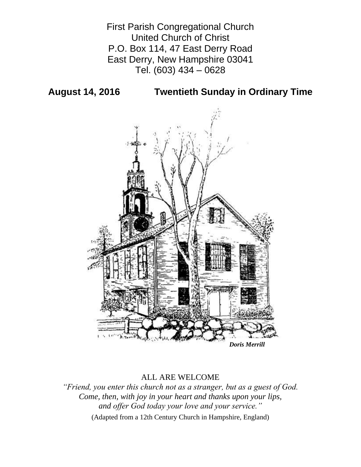First Parish Congregational Church United Church of Christ P.O. Box 114, 47 East Derry Road East Derry, New Hampshire 03041 Tel. (603) 434 – 0628

**August 14, 2016 Twentieth Sunday in Ordinary Time**



# ALL ARE WELCOME

*"Friend, you enter this church not as a stranger, but as a guest of God. Come, then, with joy in your heart and thanks upon your lips, and offer God today your love and your service."*

(Adapted from a 12th Century Church in Hampshire, England)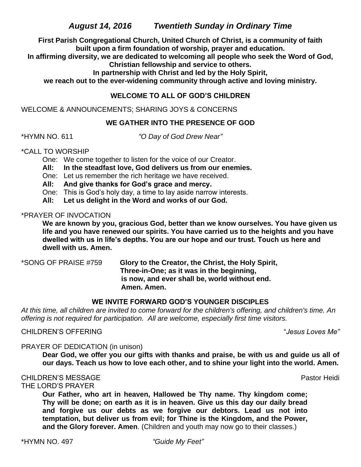*August 14, 2016 Twentieth Sunday in Ordinary Time*

**First Parish Congregational Church, United Church of Christ, is a community of faith built upon a firm foundation of worship, prayer and education.**

**In affirming diversity, we are dedicated to welcoming all people who seek the Word of God, Christian fellowship and service to others.**

**In partnership with Christ and led by the Holy Spirit,**

**we reach out to the ever-widening community through active and loving ministry.**

# **WELCOME TO ALL OF GOD'S CHILDREN**

WELCOME & ANNOUNCEMENTS; SHARING JOYS & CONCERNS

# **WE GATHER INTO THE PRESENCE OF GOD**

\*HYMN NO. 611 *"O Day of God Drew Near"*

\*CALL TO WORSHIP

One: We come together to listen for the voice of our Creator.

**All: In the steadfast love, God delivers us from our enemies.**

One: Let us remember the rich heritage we have received.

**All: And give thanks for God's grace and mercy.**

One: This is God's holy day, a time to lay aside narrow interests.

**All: Let us delight in the Word and works of our God.**

\*PRAYER OF INVOCATION

**We are known by you, gracious God, better than we know ourselves. You have given us life and you have renewed our spirits. You have carried us to the heights and you have dwelled with us in life's depths. You are our hope and our trust. Touch us here and dwell with us. Amen.**

\*SONG OF PRAISE #759 **Glory to the Creator, the Christ, the Holy Spirit, Three-in-One; as it was in the beginning, is now, and ever shall be, world without end. Amen. Amen.**

# **WE INVITE FORWARD GOD'S YOUNGER DISCIPLES**

*At this time, all children are invited to come forward for the children's offering, and children's time. An offering is not required for participation. All are welcome, especially first time visitors.*

CHILDREN'S OFFERING "*Jesus Loves Me"*

PRAYER OF DEDICATION (in unison)

**Dear God, we offer you our gifts with thanks and praise, be with us and guide us all of our days. Teach us how to love each other, and to shine your light into the world. Amen.**

# CHILDREN'S MESSAGE **Pastor Heidi** Pastor Heidi Pastor Heidi Pastor Heidi Pastor Heidi

THE LORD'S PRAYER

**Our Father, who art in heaven, Hallowed be Thy name. Thy kingdom come; Thy will be done; on earth as it is in heaven. Give us this day our daily bread and forgive us our debts as we forgive our debtors. Lead us not into temptation, but deliver us from evil; for Thine is the Kingdom, and the Power, and the Glory forever. Amen**. (Children and youth may now go to their classes.)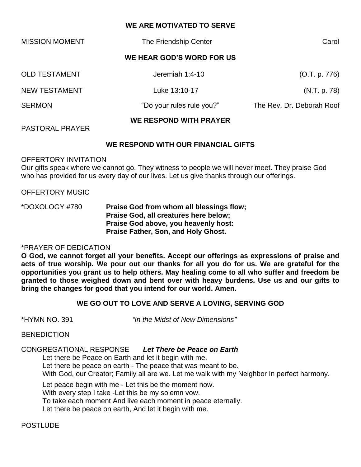## **WE ARE MOTIVATED TO SERVE**

| <b>MISSION MOMENT</b>     | The Friendship Center         | Carol                     |  |  |
|---------------------------|-------------------------------|---------------------------|--|--|
| WE HEAR GOD'S WORD FOR US |                               |                           |  |  |
| <b>OLD TESTAMENT</b>      | Jeremiah 1:4-10               | (O.T. p. 776)             |  |  |
| <b>NEW TESTAMENT</b>      | Luke 13:10-17                 | (N.T. p. 78)              |  |  |
| <b>SERMON</b>             | "Do your rules rule you?"     | The Rev. Dr. Deborah Roof |  |  |
|                           | <b>WE RESPOND WITH PRAYER</b> |                           |  |  |

PASTORAL PRAYER

### **WE RESPOND WITH OUR FINANCIAL GIFTS**

#### OFFERTORY INVITATION

Our gifts speak where we cannot go. They witness to people we will never meet. They praise God who has provided for us every day of our lives. Let us give thanks through our offerings.

#### OFFERTORY MUSIC

\*DOXOLOGY #780 **Praise God from whom all blessings flow; Praise God, all creatures here below; Praise God above, you heavenly host: Praise Father, Son, and Holy Ghost.**

#### \*PRAYER OF DEDICATION

**O God, we cannot forget all your benefits. Accept our offerings as expressions of praise and acts of true worship. We pour out our thanks for all you do for us. We are grateful for the opportunities you grant us to help others. May healing come to all who suffer and freedom be granted to those weighed down and bent over with heavy burdens. Use us and our gifts to bring the changes for good that you intend for our world. Amen.**

#### **WE GO OUT TO LOVE AND SERVE A LOVING, SERVING GOD**

\*HYMN NO. 391 *"In the Midst of New Dimensions"*

#### **BENEDICTION**

#### CONGREGATIONAL RESPONSE *Let There be Peace on Earth*

Let there be Peace on Earth and let it begin with me.

Let there be peace on earth - The peace that was meant to be.

With God, our Creator; Family all are we. Let me walk with my Neighbor In perfect harmony.

Let peace begin with me - Let this be the moment now.

With every step I take -Let this be my solemn vow.

To take each moment And live each moment in peace eternally.

Let there be peace on earth, And let it begin with me.

#### POSTLUDE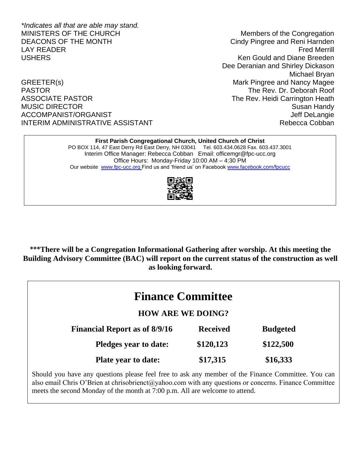*\*Indicates all that are able may stand.* MINISTERS OF THE CHURCH MINISTERS OF THE CHURCH DEACONS OF THE MONTH CINC Cindy Pingree and Reni Harnden LAY READER Fred Merrill USHERS Ken Gould and Diane Breeden

GREETER(s) GREETER(s) CREETER(s) PASTOR THE Rev. Dr. Deborah Roof ASSOCIATE PASTOR **The Rev. Heidi Carrington Heath** MUSIC DIRECTOR **Susan Handy** Susan Handy ACCOMPANIST/ORGANIST ACCOMPANIST ACCOMPANIST/ORGANIST INTERIM ADMINISTRATIVE ASSISTANT NEWSLEY AND Rebecca Cobban

Dee Deranian and Shirley Dickason Michael Bryan

#### **First Parish Congregational Church, United Church of Christ**

PO BOX 114, 47 East Derry Rd East Derry, NH 03041 Tel. 603.434.0628 Fax. 603.437.3001 Interim Office Manager: Rebecca Cobban Email: officemgr@fpc-ucc.org Office Hours: Monday-Friday 10:00 AM – 4:30 PM Our website [www.fpc-ucc.org](http://www.fpc-ucc.org/) Find us and 'friend us' on Faceboo[k www.facebook.com/fpcucc](http://www.facebook.com/fpcucc)



**\*\*\*There will be a Congregation Informational Gathering after worship. At this meeting the Building Advisory Committee (BAC) will report on the current status of the construction as well as looking forward.**

| <b>Finance Committee</b>                                                                           |                 |                 |  |  |
|----------------------------------------------------------------------------------------------------|-----------------|-----------------|--|--|
| <b>HOW ARE WE DOING?</b>                                                                           |                 |                 |  |  |
| <b>Financial Report as of 8/9/16</b>                                                               | <b>Received</b> | <b>Budgeted</b> |  |  |
| <b>Pledges year to date:</b>                                                                       | \$120,123       | \$122,500       |  |  |
| <b>Plate year to date:</b>                                                                         | \$17,315        | \$16,333        |  |  |
| Should you have any questions please feel free to ask any member of the Finance Committee. You can |                 |                 |  |  |

Should you have any questions please feel free to ask any member of the Finance Committee. You can also email Chris O'Brien at chrisobrienct@yahoo.com with any questions or concerns. Finance Committee meets the second Monday of the month at 7:00 p.m. All are welcome to attend.